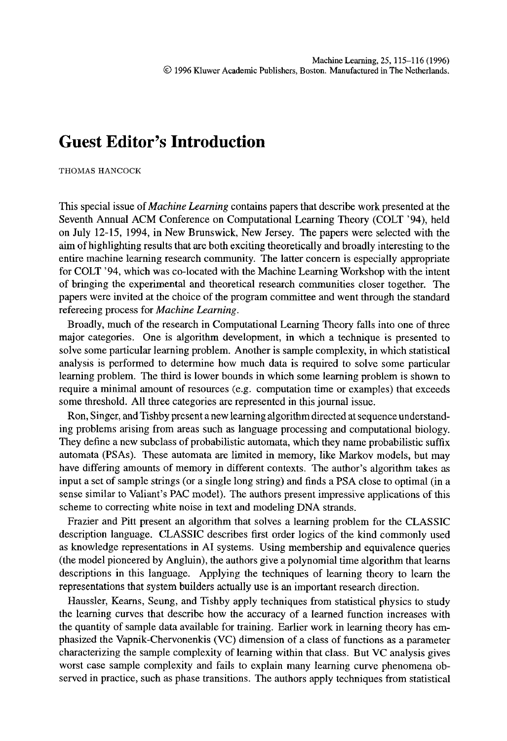## **Guest Editor's Introduction**

THOMAS HANCOCK

This special issue of *Machine Learning* contains papers that describe work presented at the Seventh Annual ACM Conference on Computational Learning Theory (COLT '94), held on July 12-15, 1994, in New Brunswick, New Jersey. The papers were selected with the aim of highlighting results that are both exciting theoretically and broadly interesting to the entire machine learning research community. The latter concern is especially appropriate for COLT '94, which was co-located with the Machine Learning Workshop with the intent of bringing the experimental and theoretical research communities closer together. The papers were invited at the choice of the program committee and went through the standard refereeing process for *Machine Learning.* 

Broadly, much of the research in Computational Learning Theory falls into one of three major categories. One is algorithm development, in which a technique is presented to solve some particular learning problem. Another is sample complexity, in which statistical analysis is performed to determine how much data is required to solve some particular learning problem. The third is lower bounds in which some learning problem is shown to require a minimal amount of resources (e.g. computation time or examples) that exceeds some threshold. All three categories are represented in this journal issue.

Ron, Singer, and Tishby present a new learning algorithm directed at sequence understanding problems arising from areas such as language processing and computational biology. They define a new subclass of probabilistic automata, which they name probabilistic suffix automata (PSAs). These automata are limited in memory, like Markov models, but may have differing amounts of memory in different contexts. The author's algorithm takes as input a set of sample strings (or a single long string) and finds a PSA close to optimal (in a sense similar to Valiant's PAC model). The authors present impressive applications of this scheme to correcting white noise in text and modeling DNA strands.

Frazier and Pitt present an algorithm that solves a learning problem for the CLASSIC description language. CLASSIC describes first order logics of the kind commonly used as knowledge representations in AI systems. Using membership and equivalence queries (the model pioneered by Angluin), the authors give a polynomial time algorithm that learns descriptions in this language. Applying the techniques of learning theory to learn the representations that system builders actually use is an important research direction.

Haussler, Kearns, Seung, and Tishby apply techniques from statistical physics to study the learning curves that describe how the accuracy of a learned function increases with the quantity of sample data available for training. Earlier work in learning theory has emphasized the Vapnik-Chervonenkis (VC) dimension of a class of functions as a parameter characterizing the sample complexity of learning within that class. But VC analysis gives worst case sample complexity and fails to explain many learning curve phenomena observed in practice, such as phase transitions. The authors apply techniques from statistical